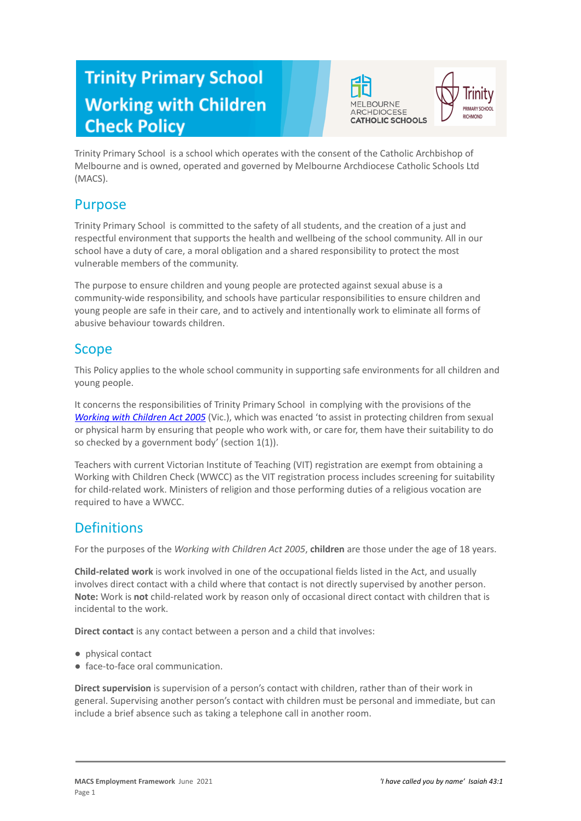# **Trinity Primary School Working with Children Check Policy**





Trinity Primary School is a school which operates with the consent of the Catholic Archbishop of Melbourne and is owned, operated and governed by Melbourne Archdiocese Catholic Schools Ltd (MACS).

## Purpose

Trinity Primary School is committed to the safety of all students, and the creation of a just and respectful environment that supports the health and wellbeing of the school community. All in our school have a duty of care, a moral obligation and a shared responsibility to protect the most vulnerable members of the community.

The purpose to ensure children and young people are protected against sexual abuse is a community-wide responsibility, and schools have particular responsibilities to ensure children and young people are safe in their care, and to actively and intentionally work to eliminate all forms of abusive behaviour towards children.

#### Scope

This Policy applies to the whole school community in supporting safe environments for all children and young people.

It concerns the responsibilities of Trinity Primary School in complying with the provisions of the *[Working with Children Act 2005](https://www.legislation.vic.gov.au/as-made/acts/working-children-act-2005)* (Vic.), which was enacted 'to assist in protecting children from sexual or physical harm by ensuring that people who work with, or care for, them have their suitability to do so checked by a government body' (section 1(1)).

Teachers with current Victorian Institute of Teaching (VIT) registration are exempt from obtaining a Working with Children Check (WWCC) as the VIT registration process includes screening for suitability for child-related work. Ministers of religion and those performing duties of a religious vocation are required to have a WWCC.

### **Definitions**

For the purposes of the *Working with Children Act 2005*, **children** are those under the age of 18 years.

**Child-related work** is work involved in one of the occupational fields listed in the Act, and usually involves direct contact with a child where that contact is not directly supervised by another person. **Note:** Work is **not** child-related work by reason only of occasional direct contact with children that is incidental to the work.

**Direct contact** is any contact between a person and a child that involves:

- physical contact
- face-to-face oral communication.

**Direct supervision** is supervision of a person's contact with children, rather than of their work in general. Supervising another person's contact with children must be personal and immediate, but can include a brief absence such as taking a telephone call in another room.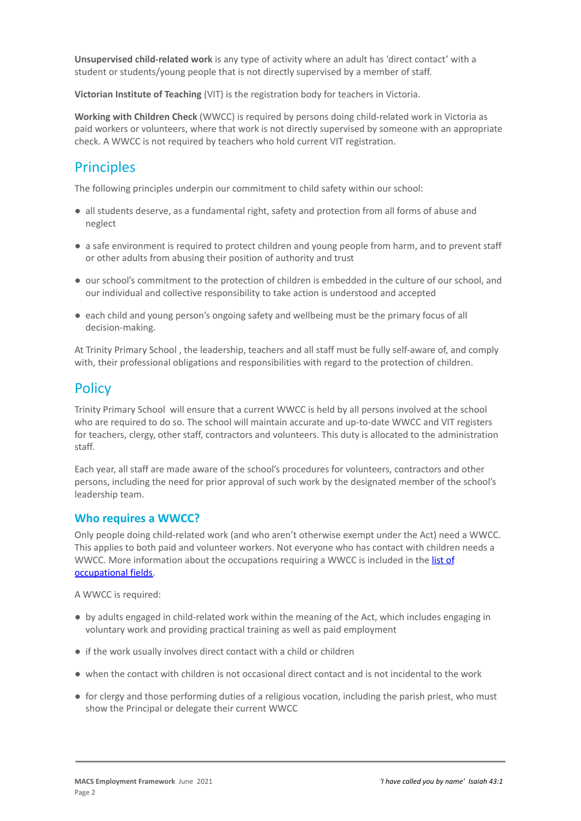**Unsupervised child-related work** is any type of activity where an adult has 'direct contact' with a student or students/young people that is not directly supervised by a member of staff.

**Victorian Institute of Teaching** (VIT) is the registration body for teachers in Victoria.

**Working with Children Check** (WWCC) is required by persons doing child-related work in Victoria as paid workers or volunteers, where that work is not directly supervised by someone with an appropriate check. A WWCC is not required by teachers who hold current VIT registration.

### **Principles**

The following principles underpin our commitment to child safety within our school:

- all students deserve, as a fundamental right, safety and protection from all forms of abuse and neglect
- a safe environment is required to protect children and young people from harm, and to prevent staff or other adults from abusing their position of authority and trust
- our school's commitment to the protection of children is embedded in the culture of our school, and our individual and collective responsibility to take action is understood and accepted
- each child and young person's ongoing safety and wellbeing must be the primary focus of all decision-making.

At Trinity Primary School , the leadership, teachers and all staff must be fully self-aware of, and comply with, their professional obligations and responsibilities with regard to the protection of children.

# **Policy**

Trinity Primary School will ensure that a current WWCC is held by all persons involved at the school who are required to do so. The school will maintain accurate and up-to-date WWCC and VIT registers for teachers, clergy, other staff, contractors and volunteers. This duty is allocated to the administration staff.

Each year, all staff are made aware of the school's procedures for volunteers, contractors and other persons, including the need for prior approval of such work by the designated member of the school's leadership team.

#### **Who requires a WWCC?**

Only people doing child-related work (and who aren't otherwise exempt under the Act) need a WWCC. This applies to both paid and volunteer workers. Not everyone who has contact with children needs a WWCC. More information about the occupations requiring a WWCC is included in the [list of](https://www.workingwithchildren.vic.gov.au/about-the-check/resources/list-of-occupational-fields) [occupational fields.](https://www.workingwithchildren.vic.gov.au/about-the-check/resources/list-of-occupational-fields)

A WWCC is required:

- by adults engaged in child-related work within the meaning of the Act, which includes engaging in voluntary work and providing practical training as well as paid employment
- if the work usually involves direct contact with a child or children
- when the contact with children is not occasional direct contact and is not incidental to the work
- for clergy and those performing duties of a religious vocation, including the parish priest, who must show the Principal or delegate their current WWCC